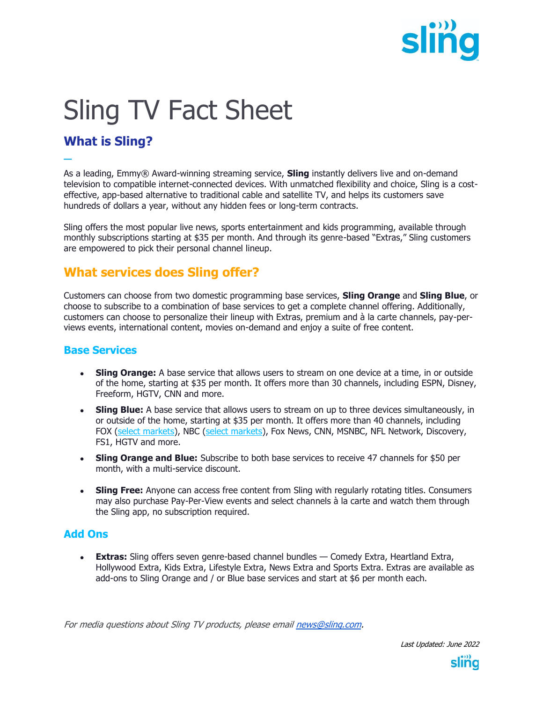

# Sling TV Fact Sheet

## **What is Sling?**

**─** As a leading, Emmy® Award-winning streaming service, **Sling** instantly delivers live and on-demand television to compatible internet-connected devices. With unmatched flexibility and choice, Sling is a costeffective, app-based alternative to traditional cable and satellite TV, and helps its customers save hundreds of dollars a year, without any hidden fees or long-term contracts.

Sling offers the most popular live news, sports entertainment and kids programming, available through monthly subscriptions starting at \$35 per month. And through its genre-based "Extras," Sling customers are empowered to pick their personal channel lineup.

## **What services does Sling offer?**

Customers can choose from two domestic programming base services, **Sling Orange** and **Sling Blue**, or choose to subscribe to a combination of base services to get a complete channel offering. Additionally, customers can choose to personalize their lineup with Extras, premium and à la carte channels, pay-perviews events, international content, movies on-demand and enjoy a suite of free content.

#### **Base Services**

- **Sling Orange:** A base service that allows users to stream on one device at a time, in or outside of the home, starting at \$35 per month. It offers more than 30 channels, including ESPN, Disney, Freeform, HGTV, CNN and more.
- Sling Blue: A base service that allows users to stream on up to three devices simultaneously, in or outside of the home, starting at \$35 per month. It offers more than 40 channels, including FOX (select markets), NBC (select markets), Fox News, CNN, MSNBC, NFL Network, Discovery, FS1, HGTV and more.
- **Sling Orange and Blue:** Subscribe to both base services to receive 47 channels for \$50 per month, with a multi-service discount.
- **Sling Free:** Anyone can access free content from Sling with regularly rotating titles. Consumers may also purchase Pay-Per-View events and select channels à la carte and watch them through the Sling app, no subscription required.

#### **Add Ons**

**Extras:** Sling offers seven genre-based channel bundles — Comedy Extra, Heartland Extra, Hollywood Extra, Kids Extra, Lifestyle Extra, News Extra and Sports Extra. Extras are available as add-ons to Sling Orange and / or Blue base services and start at \$6 per month each.

For media questions about Sling TV products, please emai[l news@sling.com.](mailto:news@sling.com)

Last Updated: June 2022

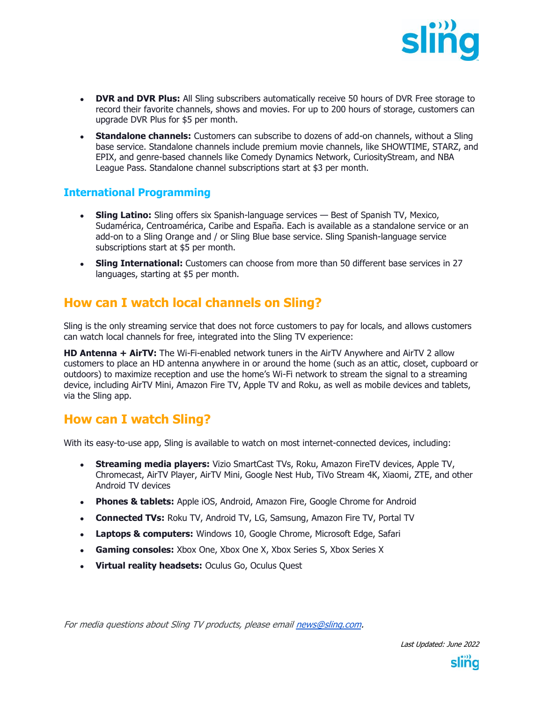

- **DVR and DVR Plus:** All Sling subscribers automatically receive 50 hours of DVR Free storage to record their favorite channels, shows and movies. For up to 200 hours of storage, customers can upgrade DVR Plus for \$5 per month.
- **Standalone channels:** Customers can subscribe to dozens of add-on channels, without a Sling base service. Standalone channels include premium movie channels, like SHOWTIME, STARZ, and EPIX, and genre-based channels like Comedy Dynamics Network, CuriosityStream, and NBA League Pass. Standalone channel subscriptions start at \$3 per month.

#### **International Programming**

- **Sling Latino:** Sling offers six Spanish-language services Best of Spanish TV, Mexico, Sudamérica, Centroamérica, Caribe and España. Each is available as a standalone service or an add-on to a Sling Orange and / or Sling Blue base service. Sling Spanish-language service subscriptions start at \$5 per month.
- Sling International: Customers can choose from more than 50 different base services in 27 languages, starting at \$5 per month.

## **How can I watch local channels on Sling?**

Sling is the only streaming service that does not force customers to pay for locals, and allows customers can watch local channels for free, integrated into the Sling TV experience:

**HD Antenna + AirTV:** The Wi-Fi-enabled network tuners in the AirTV Anywhere and AirTV 2 allow customers to place an HD antenna anywhere in or around the home (such as an attic, closet, cupboard or outdoors) to maximize reception and use the home's Wi-Fi network to stream the signal to a streaming device, including AirTV Mini, Amazon Fire TV, Apple TV and Roku, as well as mobile devices and tablets, via the Sling app.

#### **How can I watch Sling?**

With its easy-to-use app, Sling is available to watch on most internet-connected devices, including:

- **Streaming media players:** Vizio SmartCast TVs, Roku, Amazon FireTV devices, Apple TV, Chromecast, AirTV Player, AirTV Mini, Google Nest Hub, TiVo Stream 4K, Xiaomi, ZTE, and other Android TV devices
- Phones & tablets: Apple iOS, Android, Amazon Fire, Google Chrome for Android
- **Connected TVs:** Roku TV, Android TV, LG, Samsung, Amazon Fire TV, Portal TV
- **Laptops & computers:** Windows 10, Google Chrome, Microsoft Edge, Safari
- **Gaming consoles:** Xbox One, Xbox One X, Xbox Series S, Xbox Series X
- **Virtual reality headsets:** Oculus Go, Oculus Quest

For media questions about Sling TV products, please emai[l news@sling.com.](mailto:news@sling.com)